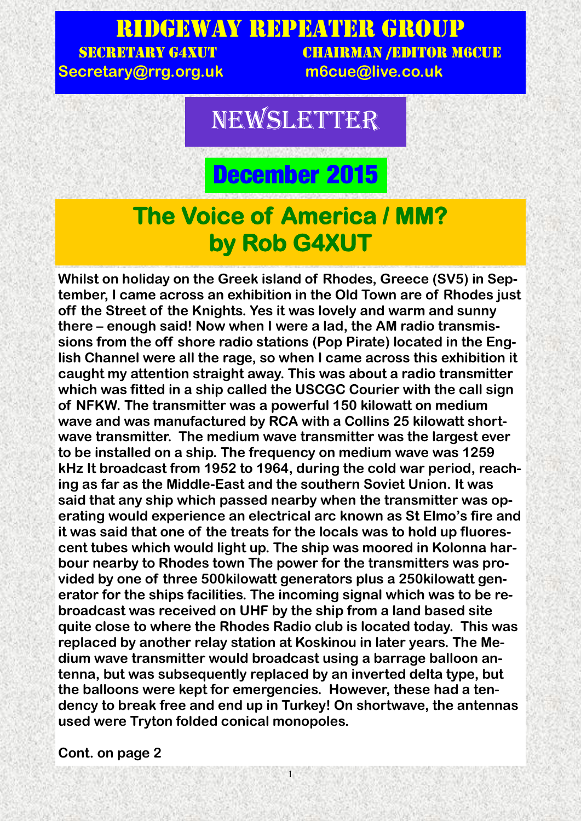### Ridgeway Repeater Group SECRETARY G4XUT CHAIRMAN /EDITOR M6CUE

**Secretary@rrg.org.uk m6cue@live.co.uk**

## **NEWSLETTER**

## **December 2015**

### **The Voice of America / MM? by Rob G4XUT**

**Whilst on holiday on the Greek island of Rhodes, Greece (SV5) in September, I came across an exhibition in the Old Town are of Rhodes just off the Street of the Knights. Yes it was lovely and warm and sunny there – enough said! Now when I were a lad, the AM radio transmissions from the off shore radio stations (Pop Pirate) located in the English Channel were all the rage, so when I came across this exhibition it caught my attention straight away. This was about a radio transmitter which was fitted in a ship called the USCGC Courier with the call sign of NFKW. The transmitter was a powerful 150 kilowatt on medium wave and was manufactured by RCA with a Collins 25 kilowatt shortwave transmitter. The medium wave transmitter was the largest ever to be installed on a ship. The frequency on medium wave was 1259 kHz It broadcast from 1952 to 1964, during the cold war period, reaching as far as the Middle-East and the southern Soviet Union. It was said that any ship which passed nearby when the transmitter was operating would experience an electrical arc known as St Elmo's fire and it was said that one of the treats for the locals was to hold up fluorescent tubes which would light up. The ship was moored in Kolonna harbour nearby to Rhodes town The power for the transmitters was provided by one of three 500kilowatt generators plus a 250kilowatt generator for the ships facilities. The incoming signal which was to be rebroadcast was received on UHF by the ship from a land based site quite close to where the Rhodes Radio club is located today. This was replaced by another relay station at Koskinou in later years. The Medium wave transmitter would broadcast using a barrage balloon antenna, but was subsequently replaced by an inverted delta type, but the balloons were kept for emergencies. However, these had a tendency to break free and end up in Turkey! On shortwave, the antennas used were Tryton folded conical monopoles.**

1

**Cont. on page 2**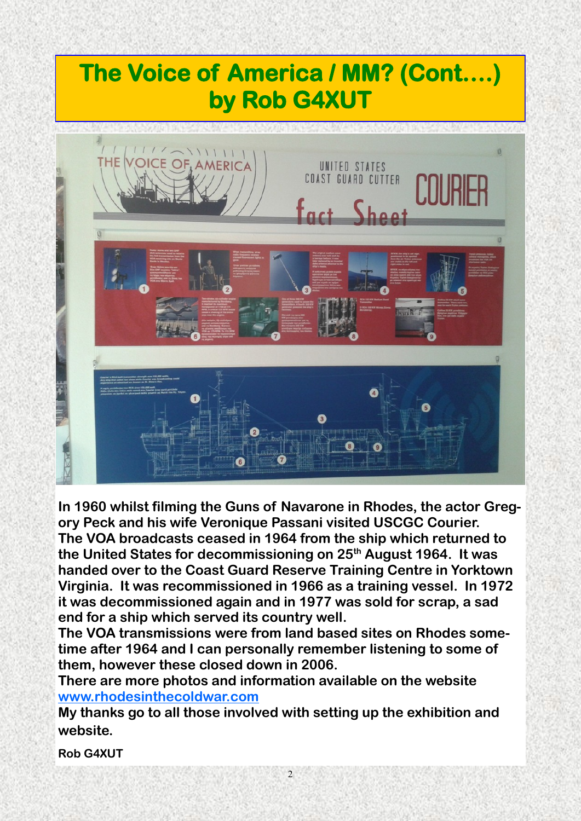## **The Voice of America / MM? (Cont….) by Rob G4XUT**



**In 1960 whilst filming the Guns of Navarone in Rhodes, the actor Gregory Peck and his wife Veronique Passani visited USCGC Courier.**

**The VOA broadcasts ceased in 1964 from the ship which returned to the United States for decommissioning on 25th August 1964. It was handed over to the Coast Guard Reserve Training Centre in Yorktown Virginia. It was recommissioned in 1966 as a training vessel. In 1972 it was decommissioned again and in 1977 was sold for scrap, a sad end for a ship which served its country well.**

**The VOA transmissions were from land based sites on Rhodes sometime after 1964 and I can personally remember listening to some of them, however these closed down in 2006.**

**There are more photos and information available on the website [www.rhodesinthecoldwar.com](http://www.rhodesinthecoldwar.com)**

**My thanks go to all those involved with setting up the exhibition and website.**

**Rob G4XUT**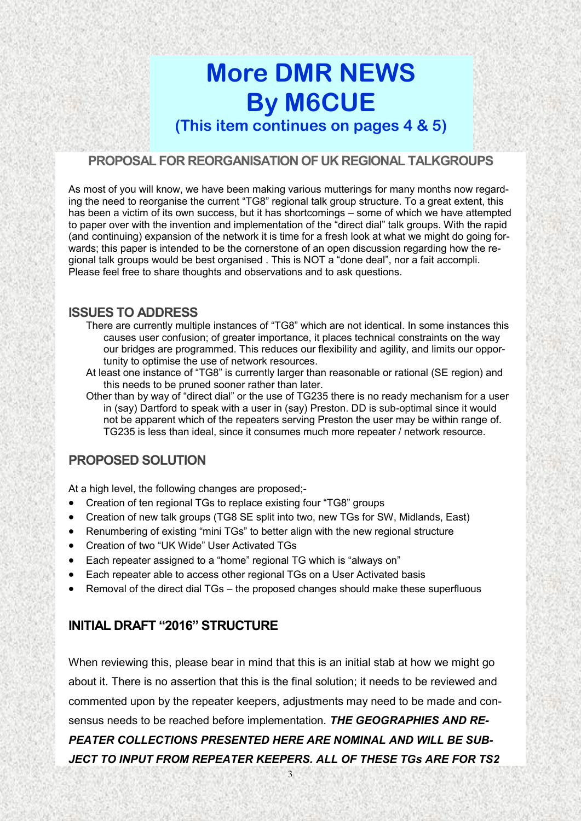## **More DMR NEWS By M6CUE**

**(This item continues on pages 4 & 5)**

#### **PROPOSAL FOR REORGANISATION OF UK REGIONAL TALKGROUPS**

As most of you will know, we have been making various mutterings for many months now regarding the need to reorganise the current "TG8" regional talk group structure. To a great extent, this has been a victim of its own success, but it has shortcomings – some of which we have attempted to paper over with the invention and implementation of the "direct dial" talk groups. With the rapid (and continuing) expansion of the network it is time for a fresh look at what we might do going forwards; this paper is intended to be the cornerstone of an open discussion regarding how the regional talk groups would be best organised . This is NOT a "done deal", nor a fait accompli. Please feel free to share thoughts and observations and to ask questions.

#### **ISSUES TO ADDRESS**

- There are currently multiple instances of "TG8" which are not identical. In some instances this causes user confusion; of greater importance, it places technical constraints on the way our bridges are programmed. This reduces our flexibility and agility, and limits our opportunity to optimise the use of network resources.
- At least one instance of "TG8" is currently larger than reasonable or rational (SE region) and this needs to be pruned sooner rather than later.

Other than by way of "direct dial" or the use of TG235 there is no ready mechanism for a user in (say) Dartford to speak with a user in (say) Preston. DD is sub-optimal since it would not be apparent which of the repeaters serving Preston the user may be within range of. TG235 is less than ideal, since it consumes much more repeater / network resource.

#### **PROPOSED SOLUTION**

At a high level, the following changes are proposed;-

- Creation of ten regional TGs to replace existing four "TG8" groups
- Creation of new talk groups (TG8 SE split into two, new TGs for SW, Midlands, East)
- Renumbering of existing "mini TGs" to better align with the new regional structure
- Creation of two "UK Wide" User Activated TGs
- Each repeater assigned to a "home" regional TG which is "always on"
- Each repeater able to access other regional TGs on a User Activated basis
- Removal of the direct dial TGs the proposed changes should make these superfluous

#### **INITIAL DRAFT "2016" STRUCTURE**

When reviewing this, please bear in mind that this is an initial stab at how we might go about it. There is no assertion that this is the final solution; it needs to be reviewed and commented upon by the repeater keepers, adjustments may need to be made and consensus needs to be reached before implementation. *THE GEOGRAPHIES AND RE-PEATER COLLECTIONS PRESENTED HERE ARE NOMINAL AND WILL BE SUB-JECT TO INPUT FROM REPEATER KEEPERS. ALL OF THESE TGs ARE FOR TS2*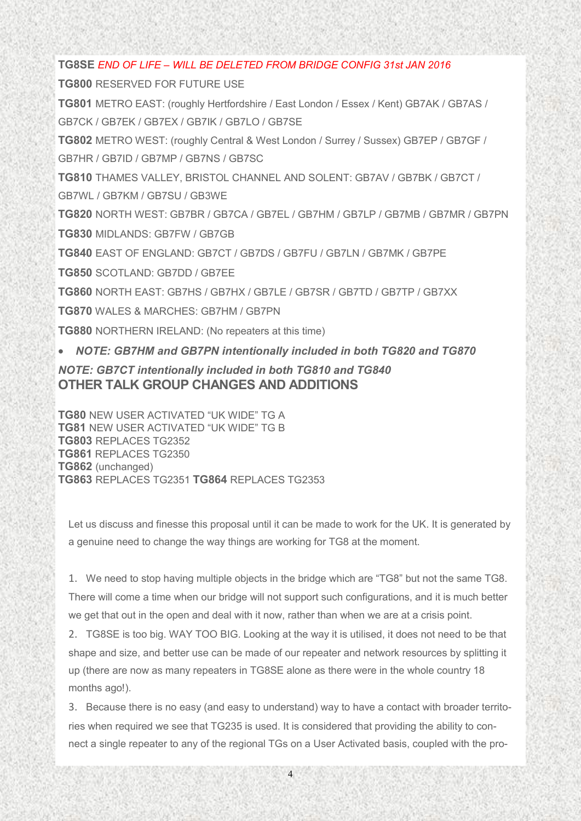**TG8SE** *END OF LIFE – WILL BE DELETED FROM BRIDGE CONFIG 31st JAN 2016*

**TG800** RESERVED FOR FUTURE USE

**TG801** METRO EAST: (roughly Hertfordshire / East London / Essex / Kent) GB7AK / GB7AS / GB7CK / GB7EK / GB7EX / GB7IK / GB7LO / GB7SE

**TG802** METRO WEST: (roughly Central & West London / Surrey / Sussex) GB7EP / GB7GF / GB7HR / GB7ID / GB7MP / GB7NS / GB7SC

**TG810** THAMES VALLEY, BRISTOL CHANNEL AND SOLENT: GB7AV / GB7BK / GB7CT / GB7WL / GB7KM / GB7SU / GB3WE

**TG820** NORTH WEST: GB7BR / GB7CA / GB7EL / GB7HM / GB7LP / GB7MB / GB7MR / GB7PN **TG830** MIDLANDS: GB7FW / GB7GB

**TG840** EAST OF ENGLAND: GB7CT / GB7DS / GB7FU / GB7LN / GB7MK / GB7PE

**TG850** SCOTLAND: GB7DD / GB7EE

**TG860** NORTH EAST: GB7HS / GB7HX / GB7LE / GB7SR / GB7TD / GB7TP / GB7XX

**TG870** WALES & MARCHES: GB7HM / GB7PN

**TG880** NORTHERN IRELAND: (No repeaters at this time)

*NOTE: GB7HM and GB7PN intentionally included in both TG820 and TG870*

*NOTE: GB7CT intentionally included in both TG810 and TG840* **OTHER TALK GROUP CHANGES AND ADDITIONS**

**TG80** NEW USER ACTIVATED "UK WIDE" TG A **TG81** NEW USER ACTIVATED "UK WIDE" TG B **TG803** REPLACES TG2352 **TG861** REPLACES TG2350 **TG862** (unchanged) **TG863** REPLACES TG2351 **TG864** REPLACES TG2353

Let us discuss and finesse this proposal until it can be made to work for the UK. It is generated by a genuine need to change the way things are working for TG8 at the moment.

1. We need to stop having multiple objects in the bridge which are "TG8" but not the same TG8. There will come a time when our bridge will not support such configurations, and it is much better we get that out in the open and deal with it now, rather than when we are at a crisis point.

2. TG8SE is too big. WAY TOO BIG. Looking at the way it is utilised, it does not need to be that shape and size, and better use can be made of our repeater and network resources by splitting it up (there are now as many repeaters in TG8SE alone as there were in the whole country 18 months ago!).

3. Because there is no easy (and easy to understand) way to have a contact with broader territories when required we see that TG235 is used. It is considered that providing the ability to connect a single repeater to any of the regional TGs on a User Activated basis, coupled with the pro-

4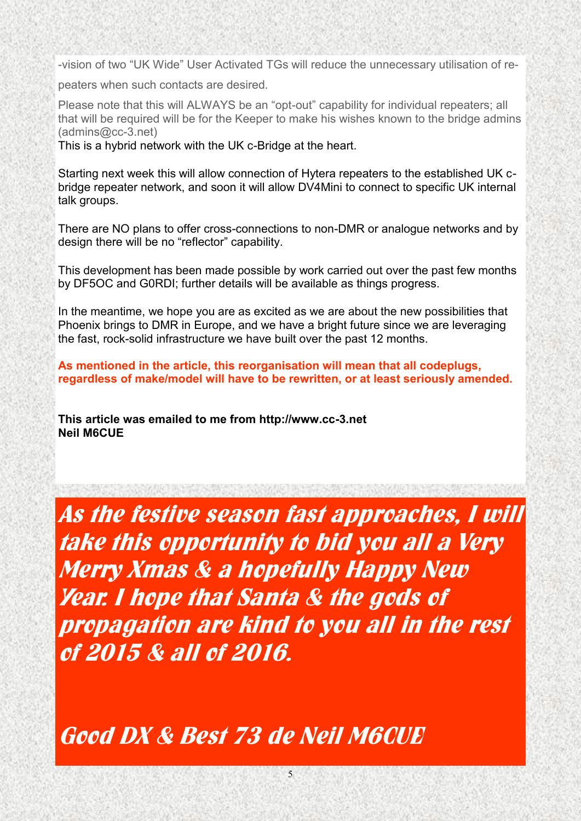-vision of two "UK Wide" User Activated TGs will reduce the unnecessary utilisation of re-

peaters when such contacts are desired.

Please note that this will ALWAYS be an "opt-out" capability for individual repeaters; all that will be required will be for the Keeper to make his wishes known to the bridge admins (admins@cc-3.net)

This is a hybrid network with the UK c-Bridge at the heart.

Starting next week this will allow connection of Hytera repeaters to the established UK cbridge repeater network, and soon it will allow DV4Mini to connect to specific UK internal talk groups.

There are NO plans to offer cross-connections to non-DMR or analogue networks and by design there will be no "reflector" capability.

This development has been made possible by work carried out over the past few months by DF5OC and G0RDI; further details will be available as things progress.

In the meantime, we hope you are as excited as we are about the new possibilities that Phoenix brings to DMR in Europe, and we have a bright future since we are leveraging the fast, rock-solid infrastructure we have built over the past 12 months.

**As mentioned in the article, this reorganisation will mean that all codeplugs, regardless of make/model will have to be rewritten, or at least seriously amended.** 

**This article was emailed to me from http://www.cc-3.net Neil M6CUE**

**As the festive season fast approaches, I will take this opportunity to bid you all a Very Merry Xmas & a hopefully Happy New Year. I hope that Santa & the gods of propagation are kind to you all in the rest of 2015 & all of 2016.**

**Good DX & Best 73 de Neil M6CUE**